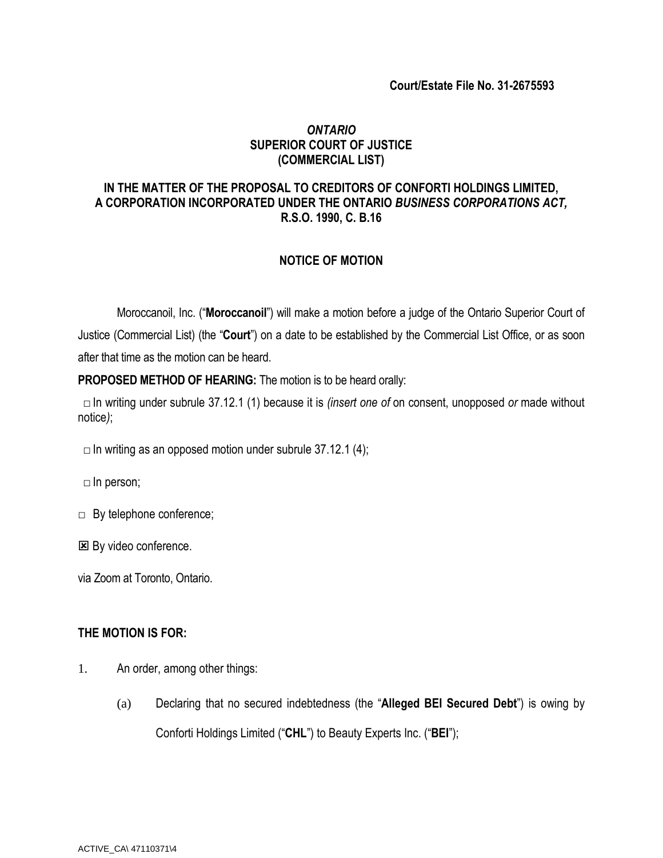# *ONTARIO* **SUPERIOR COURT OF JUSTICE (COMMERCIAL LIST)**

# **IN THE MATTER OF THE PROPOSAL TO CREDITORS OF CONFORTI HOLDINGS LIMITED, A CORPORATION INCORPORATED UNDER THE ONTARIO** *BUSINESS CORPORATIONS ACT,*  **R.S.O. 1990, C. B.16**

## **NOTICE OF MOTION**

Moroccanoil, Inc. ("**Moroccanoil**") will make a motion before a judge of the Ontario Superior Court of Justice (Commercial List) (the "**Court**") on a date to be established by the Commercial List Office, or as soon after that time as the motion can be heard.

**PROPOSED METHOD OF HEARING:** The motion is to be heard orally:

□ In writing under subrule 37.12.1 (1) because it is *(insert one of* on consent, unopposed *or* made without notice*)*;

- $\Box$  In writing as an opposed motion under subrule 37.12.1 (4);
- $\Box$  In person;
- □ By telephone conference;
- **E** By video conference.

via Zoom at Toronto, Ontario.

## **THE MOTION IS FOR:**

- 1. An order, among other things:
	- (a) Declaring that no secured indebtedness (the "**Alleged BEI Secured Debt**") is owing by Conforti Holdings Limited ("**CHL**") to Beauty Experts Inc. ("**BEI**");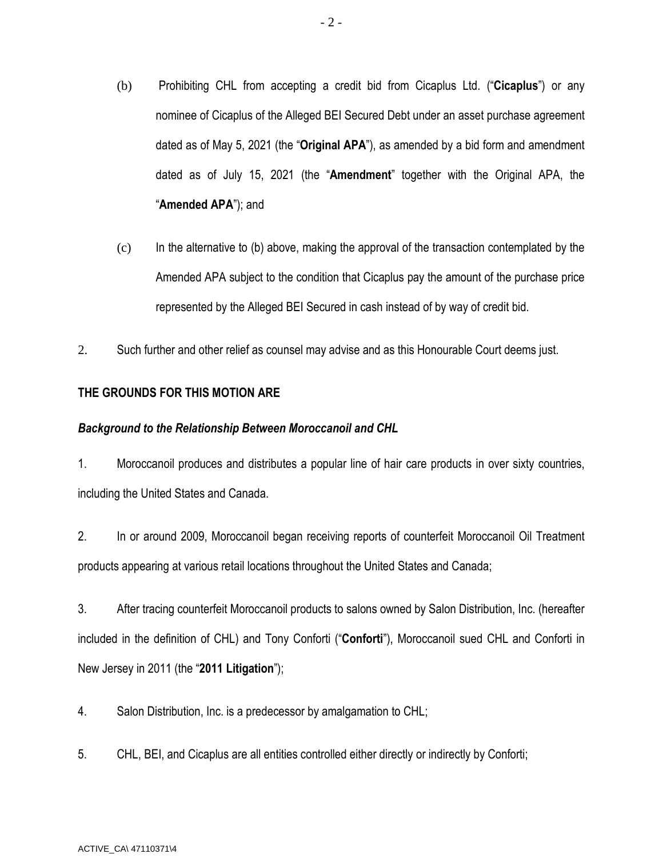- (b) Prohibiting CHL from accepting a credit bid from Cicaplus Ltd. ("**Cicaplus**") or any nominee of Cicaplus of the Alleged BEI Secured Debt under an asset purchase agreement dated as of May 5, 2021 (the "**Original APA**"), as amended by a bid form and amendment dated as of July 15, 2021 (the "**Amendment**" together with the Original APA, the "**Amended APA**"); and
- $(c)$  In the alternative to (b) above, making the approval of the transaction contemplated by the Amended APA subject to the condition that Cicaplus pay the amount of the purchase price represented by the Alleged BEI Secured in cash instead of by way of credit bid.
- 2. Such further and other relief as counsel may advise and as this Honourable Court deems just.

# **THE GROUNDS FOR THIS MOTION ARE**

#### *Background to the Relationship Between Moroccanoil and CHL*

1. Moroccanoil produces and distributes a popular line of hair care products in over sixty countries, including the United States and Canada.

2. In or around 2009, Moroccanoil began receiving reports of counterfeit Moroccanoil Oil Treatment products appearing at various retail locations throughout the United States and Canada;

3. After tracing counterfeit Moroccanoil products to salons owned by Salon Distribution, Inc. (hereafter included in the definition of CHL) and Tony Conforti ("**Conforti**"), Moroccanoil sued CHL and Conforti in New Jersey in 2011 (the "**2011 Litigation**");

4. Salon Distribution, Inc. is a predecessor by amalgamation to CHL;

5. CHL, BEI, and Cicaplus are all entities controlled either directly or indirectly by Conforti;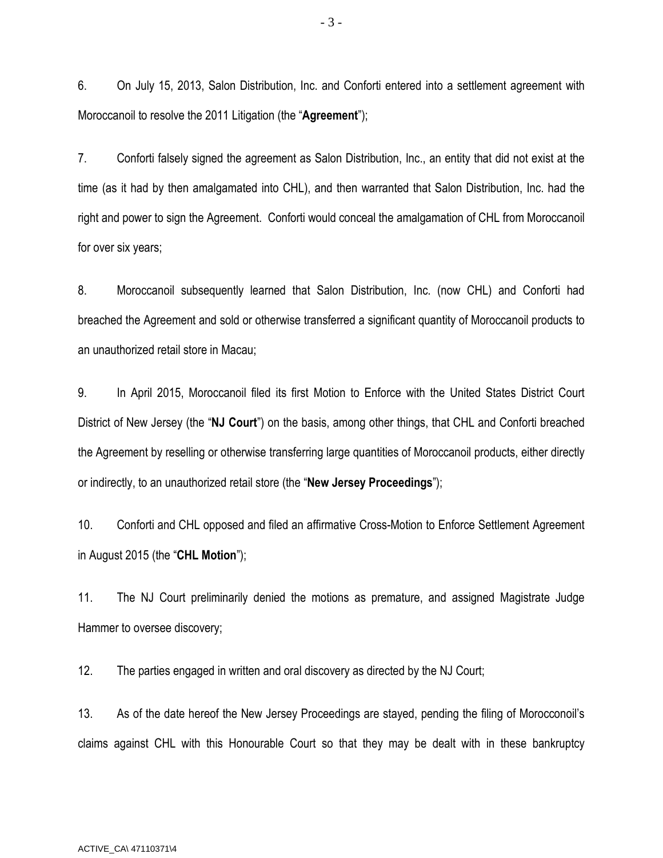6. On July 15, 2013, Salon Distribution, Inc. and Conforti entered into a settlement agreement with Moroccanoil to resolve the 2011 Litigation (the "**Agreement**");

7. Conforti falsely signed the agreement as Salon Distribution, Inc., an entity that did not exist at the time (as it had by then amalgamated into CHL), and then warranted that Salon Distribution, Inc. had the right and power to sign the Agreement. Conforti would conceal the amalgamation of CHL from Moroccanoil for over six years;

8. Moroccanoil subsequently learned that Salon Distribution, Inc. (now CHL) and Conforti had breached the Agreement and sold or otherwise transferred a significant quantity of Moroccanoil products to an unauthorized retail store in Macau;

9. In April 2015, Moroccanoil filed its first Motion to Enforce with the United States District Court District of New Jersey (the "**NJ Court**") on the basis, among other things, that CHL and Conforti breached the Agreement by reselling or otherwise transferring large quantities of Moroccanoil products, either directly or indirectly, to an unauthorized retail store (the "**New Jersey Proceedings**");

10. Conforti and CHL opposed and filed an affirmative Cross-Motion to Enforce Settlement Agreement in August 2015 (the "**CHL Motion**");

11. The NJ Court preliminarily denied the motions as premature, and assigned Magistrate Judge Hammer to oversee discovery;

12. The parties engaged in written and oral discovery as directed by the NJ Court;

13. As of the date hereof the New Jersey Proceedings are stayed, pending the filing of Morocconoil's claims against CHL with this Honourable Court so that they may be dealt with in these bankruptcy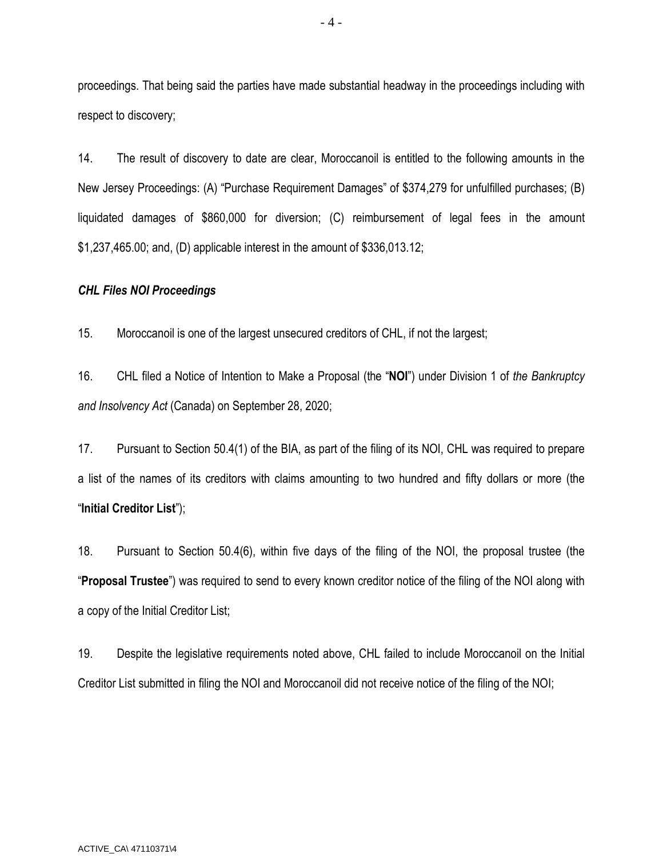proceedings. That being said the parties have made substantial headway in the proceedings including with respect to discovery;

14. The result of discovery to date are clear, Moroccanoil is entitled to the following amounts in the New Jersey Proceedings: (A) "Purchase Requirement Damages" of \$374,279 for unfulfilled purchases; (B) liquidated damages of \$860,000 for diversion; (C) reimbursement of legal fees in the amount \$1,237,465.00; and, (D) applicable interest in the amount of \$336,013.12;

### *CHL Files NOI Proceedings*

15. Moroccanoil is one of the largest unsecured creditors of CHL, if not the largest;

16. CHL filed a Notice of Intention to Make a Proposal (the "**NOI**") under Division 1 of *the Bankruptcy and Insolvency Act* (Canada) on September 28, 2020;

17. Pursuant to Section 50.4(1) of the BIA, as part of the filing of its NOI, CHL was required to prepare a list of the names of its creditors with claims amounting to two hundred and fifty dollars or more (the "**Initial Creditor List**");

18. Pursuant to Section 50.4(6), within five days of the filing of the NOI, the proposal trustee (the "**Proposal Trustee**") was required to send to every known creditor notice of the filing of the NOI along with a copy of the Initial Creditor List;

19. Despite the legislative requirements noted above, CHL failed to include Moroccanoil on the Initial Creditor List submitted in filing the NOI and Moroccanoil did not receive notice of the filing of the NOI;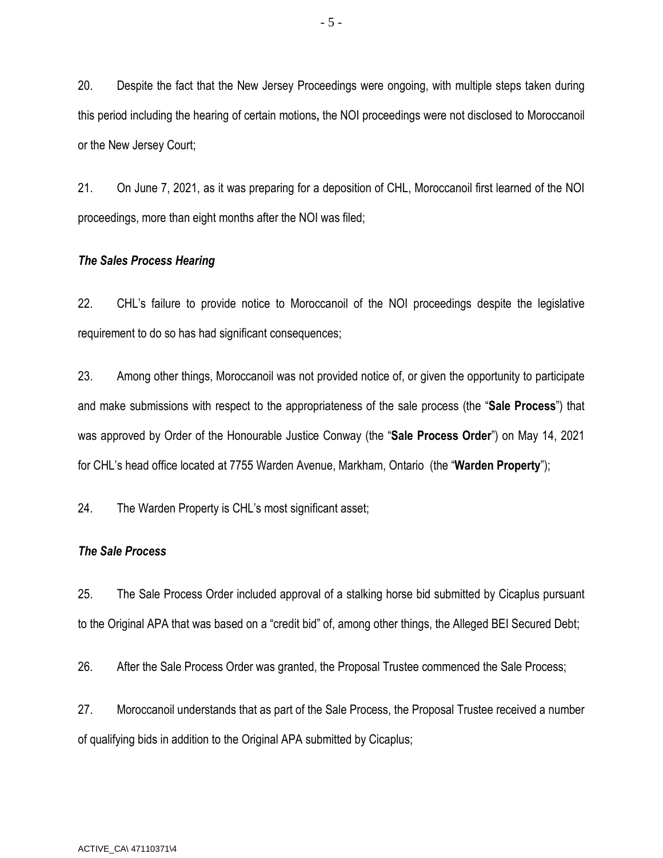20. Despite the fact that the New Jersey Proceedings were ongoing, with multiple steps taken during this period including the hearing of certain motions**,** the NOI proceedings were not disclosed to Moroccanoil or the New Jersey Court;

21. On June 7, 2021, as it was preparing for a deposition of CHL, Moroccanoil first learned of the NOI proceedings, more than eight months after the NOI was filed;

#### *The Sales Process Hearing*

22. CHL's failure to provide notice to Moroccanoil of the NOI proceedings despite the legislative requirement to do so has had significant consequences;

23. Among other things, Moroccanoil was not provided notice of, or given the opportunity to participate and make submissions with respect to the appropriateness of the sale process (the "**Sale Process**") that was approved by Order of the Honourable Justice Conway (the "**Sale Process Order**") on May 14, 2021 for CHL's head office located at 7755 Warden Avenue, Markham, Ontario (the "**Warden Property**");

24. The Warden Property is CHL's most significant asset;

#### *The Sale Process*

25. The Sale Process Order included approval of a stalking horse bid submitted by Cicaplus pursuant to the Original APA that was based on a "credit bid" of, among other things, the Alleged BEI Secured Debt;

26. After the Sale Process Order was granted, the Proposal Trustee commenced the Sale Process;

27. Moroccanoil understands that as part of the Sale Process, the Proposal Trustee received a number of qualifying bids in addition to the Original APA submitted by Cicaplus;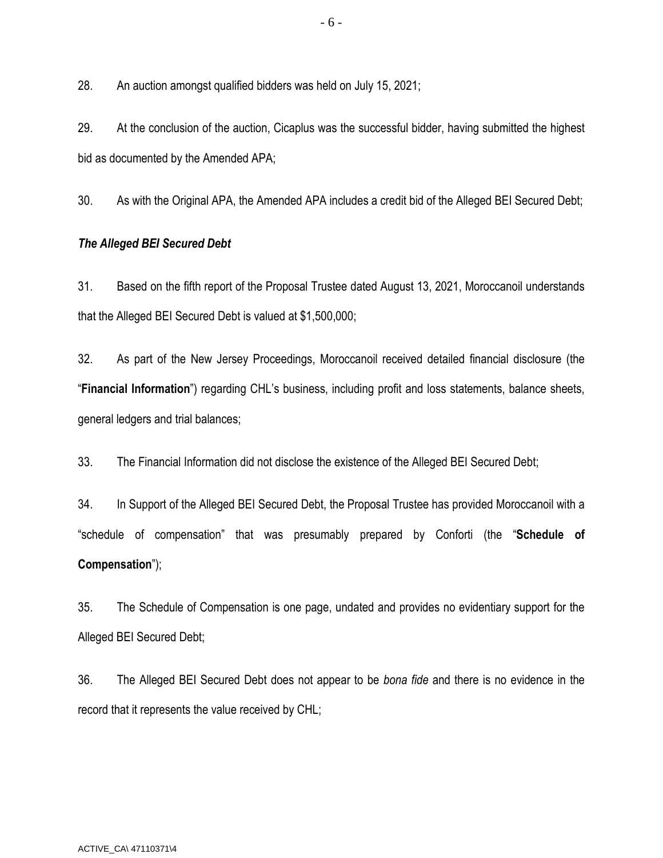28. An auction amongst qualified bidders was held on July 15, 2021;

29. At the conclusion of the auction, Cicaplus was the successful bidder, having submitted the highest bid as documented by the Amended APA;

30. As with the Original APA, the Amended APA includes a credit bid of the Alleged BEI Secured Debt;

## *The Alleged BEI Secured Debt*

31. Based on the fifth report of the Proposal Trustee dated August 13, 2021, Moroccanoil understands that the Alleged BEI Secured Debt is valued at \$1,500,000;

32. As part of the New Jersey Proceedings, Moroccanoil received detailed financial disclosure (the "**Financial Information**") regarding CHL's business, including profit and loss statements, balance sheets, general ledgers and trial balances;

33. The Financial Information did not disclose the existence of the Alleged BEI Secured Debt;

34. In Support of the Alleged BEI Secured Debt, the Proposal Trustee has provided Moroccanoil with a "schedule of compensation" that was presumably prepared by Conforti (the "**Schedule of Compensation**");

35. The Schedule of Compensation is one page, undated and provides no evidentiary support for the Alleged BEI Secured Debt;

36. The Alleged BEI Secured Debt does not appear to be *bona fide* and there is no evidence in the record that it represents the value received by CHL;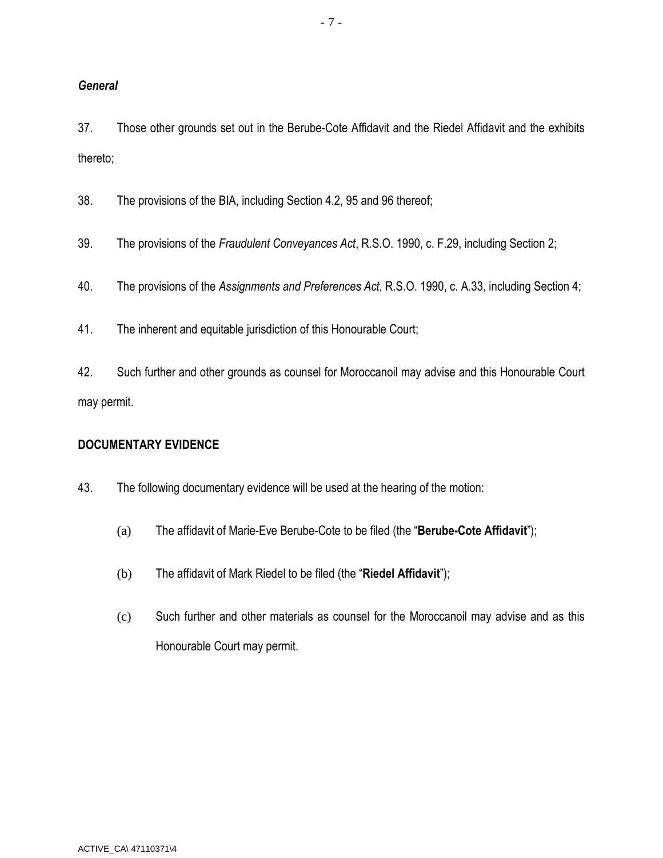# *General*

37. Those other grounds set out in the Berube-Cote Affidavit and the Riedel Affidavit and the exhibits thereto;

38. The provisions of the BIA, including Section 4.2, 95 and 96 thereof;

39. The provisions of the *Fraudulent Conveyances Act*, R.S.O. 1990, c. F.29, including Section 2;

40. The provisions of the *Assignments and Preferences Act*, R.S.O. 1990, c. A.33, including Section 4;

41. The inherent and equitable jurisdiction of this Honourable Court;

42. Such further and other grounds as counsel for Moroccanoil may advise and this Honourable Court may permit.

## **DOCUMENTARY EVIDENCE**

43. The following documentary evidence will be used at the hearing of the motion:

- (a) The affidavit of Marie-Eve Berube-Cote to be filed (the "**Berube-Cote Affidavit**");
- (b) The affidavit of Mark Riedel to be filed (the "**Riedel Affidavit**");
- (c) Such further and other materials as counsel for the Moroccanoil may advise and as this Honourable Court may permit.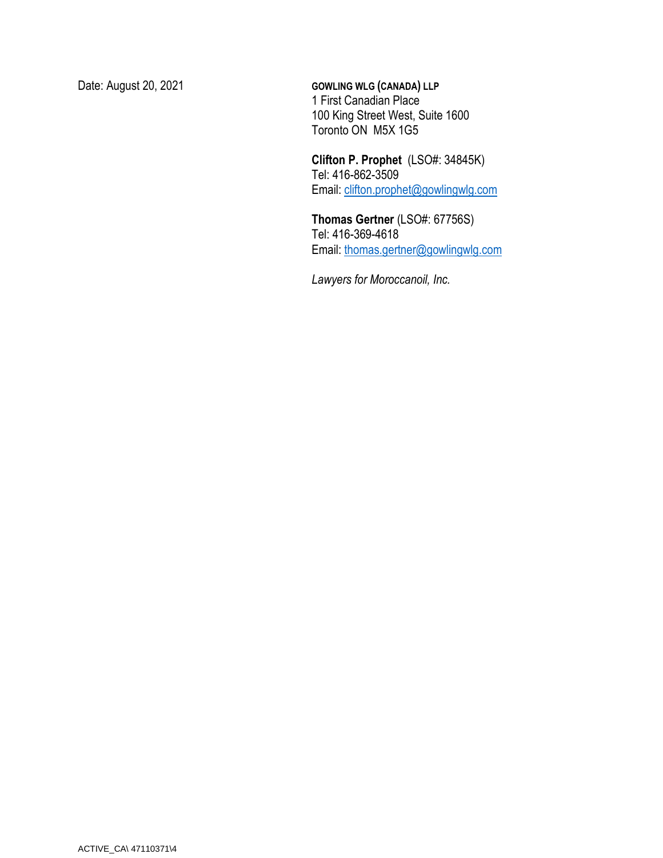Date: August 20, 2021 **GOWLING WLG (CANADA) LLP**  1 First Canadian Place 100 King Street West, Suite 1600 Toronto ON M5X 1G5

> **Clifton P. Prophet** (LSO#: 34845K) Tel: 416-862-3509 Email: clifton.prophet@gowlingwlg.com

**Thomas Gertner** (LSO#: 67756S) Tel: 416-369-4618 Email: [thomas.gertner@gowlingwlg.com](mailto:thomas.gertner@gowlingwlg.com)

*Lawyers for Moroccanoil, Inc.*